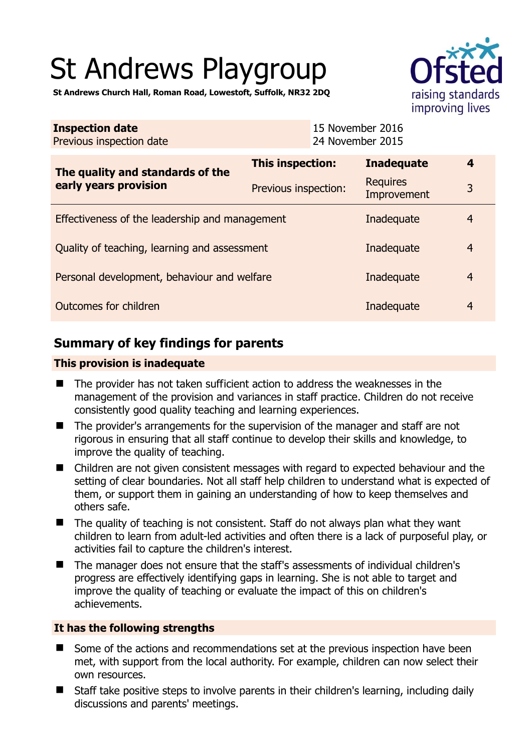# St Andrews Playgroup



**St Andrews Church Hall, Roman Road, Lowestoft, Suffolk, NR32 2DQ** 

| <b>Inspection date</b><br>Previous inspection date        | 15 November 2016<br>24 November 2015 |                                |                |
|-----------------------------------------------------------|--------------------------------------|--------------------------------|----------------|
| The quality and standards of the<br>early years provision | This inspection:                     | <b>Inadequate</b>              | 4              |
|                                                           | Previous inspection:                 | <b>Requires</b><br>Improvement | 3              |
| Effectiveness of the leadership and management            | Inadequate                           | $\overline{4}$                 |                |
| Quality of teaching, learning and assessment              | Inadequate                           | $\overline{4}$                 |                |
| Personal development, behaviour and welfare               | Inadequate                           | $\overline{4}$                 |                |
| Outcomes for children<br>Inadequate                       |                                      |                                | $\overline{4}$ |

# **Summary of key findings for parents**

## **This provision is inadequate**

- The provider has not taken sufficient action to address the weaknesses in the management of the provision and variances in staff practice. Children do not receive consistently good quality teaching and learning experiences.
- The provider's arrangements for the supervision of the manager and staff are not rigorous in ensuring that all staff continue to develop their skills and knowledge, to improve the quality of teaching.
- Children are not given consistent messages with regard to expected behaviour and the setting of clear boundaries. Not all staff help children to understand what is expected of them, or support them in gaining an understanding of how to keep themselves and others safe.
- $\blacksquare$  The quality of teaching is not consistent. Staff do not always plan what they want children to learn from adult-led activities and often there is a lack of purposeful play, or activities fail to capture the children's interest.
- The manager does not ensure that the staff's assessments of individual children's progress are effectively identifying gaps in learning. She is not able to target and improve the quality of teaching or evaluate the impact of this on children's achievements.

## **It has the following strengths**

- Some of the actions and recommendations set at the previous inspection have been met, with support from the local authority. For example, children can now select their own resources.
- Staff take positive steps to involve parents in their children's learning, including daily discussions and parents' meetings.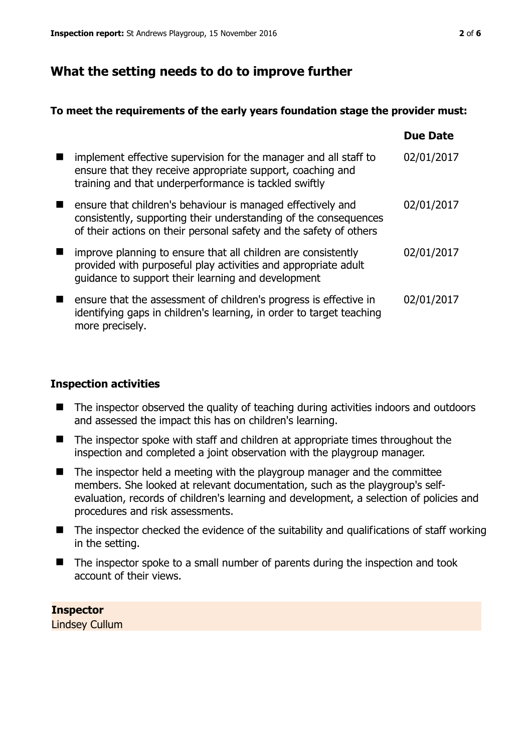# **What the setting needs to do to improve further**

## **To meet the requirements of the early years foundation stage the provider must:**

|                                                                                                                                                                                                       | <b>Due Date</b> |
|-------------------------------------------------------------------------------------------------------------------------------------------------------------------------------------------------------|-----------------|
| implement effective supervision for the manager and all staff to<br>ensure that they receive appropriate support, coaching and<br>training and that underperformance is tackled swiftly               | 02/01/2017      |
| ensure that children's behaviour is managed effectively and<br>consistently, supporting their understanding of the consequences<br>of their actions on their personal safety and the safety of others | 02/01/2017      |
| improve planning to ensure that all children are consistently<br>provided with purposeful play activities and appropriate adult<br>guidance to support their learning and development                 | 02/01/2017      |
| ensure that the assessment of children's progress is effective in<br>identifying gaps in children's learning, in order to target teaching<br>more precisely.                                          | 02/01/2017      |

## **Inspection activities**

- The inspector observed the quality of teaching during activities indoors and outdoors and assessed the impact this has on children's learning.
- The inspector spoke with staff and children at appropriate times throughout the inspection and completed a joint observation with the playgroup manager.
- The inspector held a meeting with the playgroup manager and the committee members. She looked at relevant documentation, such as the playgroup's selfevaluation, records of children's learning and development, a selection of policies and procedures and risk assessments.
- $\blacksquare$  The inspector checked the evidence of the suitability and qualifications of staff working in the setting.
- The inspector spoke to a small number of parents during the inspection and took account of their views.

**Inspector**  Lindsey Cullum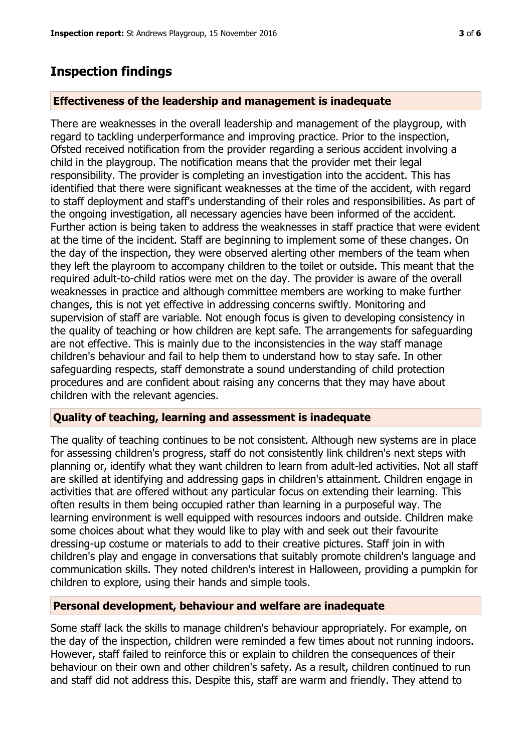# **Inspection findings**

#### **Effectiveness of the leadership and management is inadequate**

There are weaknesses in the overall leadership and management of the playgroup, with regard to tackling underperformance and improving practice. Prior to the inspection, Ofsted received notification from the provider regarding a serious accident involving a child in the playgroup. The notification means that the provider met their legal responsibility. The provider is completing an investigation into the accident. This has identified that there were significant weaknesses at the time of the accident, with regard to staff deployment and staff's understanding of their roles and responsibilities. As part of the ongoing investigation, all necessary agencies have been informed of the accident. Further action is being taken to address the weaknesses in staff practice that were evident at the time of the incident. Staff are beginning to implement some of these changes. On the day of the inspection, they were observed alerting other members of the team when they left the playroom to accompany children to the toilet or outside. This meant that the required adult-to-child ratios were met on the day. The provider is aware of the overall weaknesses in practice and although committee members are working to make further changes, this is not yet effective in addressing concerns swiftly. Monitoring and supervision of staff are variable. Not enough focus is given to developing consistency in the quality of teaching or how children are kept safe. The arrangements for safeguarding are not effective. This is mainly due to the inconsistencies in the way staff manage children's behaviour and fail to help them to understand how to stay safe. In other safeguarding respects, staff demonstrate a sound understanding of child protection procedures and are confident about raising any concerns that they may have about children with the relevant agencies.

#### **Quality of teaching, learning and assessment is inadequate**

The quality of teaching continues to be not consistent. Although new systems are in place for assessing children's progress, staff do not consistently link children's next steps with planning or, identify what they want children to learn from adult-led activities. Not all staff are skilled at identifying and addressing gaps in children's attainment. Children engage in activities that are offered without any particular focus on extending their learning. This often results in them being occupied rather than learning in a purposeful way. The learning environment is well equipped with resources indoors and outside. Children make some choices about what they would like to play with and seek out their favourite dressing-up costume or materials to add to their creative pictures. Staff join in with children's play and engage in conversations that suitably promote children's language and communication skills. They noted children's interest in Halloween, providing a pumpkin for children to explore, using their hands and simple tools.

#### **Personal development, behaviour and welfare are inadequate**

Some staff lack the skills to manage children's behaviour appropriately. For example, on the day of the inspection, children were reminded a few times about not running indoors. However, staff failed to reinforce this or explain to children the consequences of their behaviour on their own and other children's safety. As a result, children continued to run and staff did not address this. Despite this, staff are warm and friendly. They attend to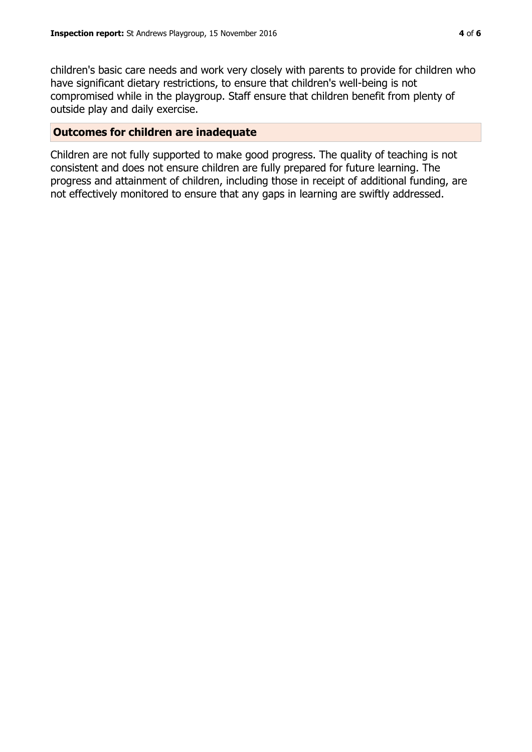children's basic care needs and work very closely with parents to provide for children who have significant dietary restrictions, to ensure that children's well-being is not compromised while in the playgroup. Staff ensure that children benefit from plenty of outside play and daily exercise.

#### **Outcomes for children are inadequate**

Children are not fully supported to make good progress. The quality of teaching is not consistent and does not ensure children are fully prepared for future learning. The progress and attainment of children, including those in receipt of additional funding, are not effectively monitored to ensure that any gaps in learning are swiftly addressed.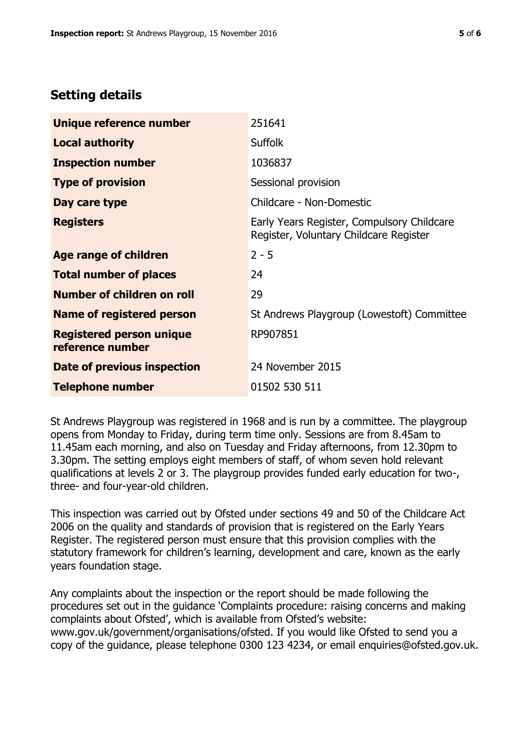# **Setting details**

| Unique reference number                             | 251641                                                                               |
|-----------------------------------------------------|--------------------------------------------------------------------------------------|
| <b>Local authority</b>                              | <b>Suffolk</b>                                                                       |
| <b>Inspection number</b>                            | 1036837                                                                              |
| <b>Type of provision</b>                            | Sessional provision                                                                  |
| Day care type                                       | Childcare - Non-Domestic                                                             |
| <b>Registers</b>                                    | Early Years Register, Compulsory Childcare<br>Register, Voluntary Childcare Register |
| <b>Age range of children</b>                        | $2 - 5$                                                                              |
| <b>Total number of places</b>                       | 24                                                                                   |
| Number of children on roll                          | 29                                                                                   |
| Name of registered person                           | St Andrews Playgroup (Lowestoft) Committee                                           |
| <b>Registered person unique</b><br>reference number | RP907851                                                                             |
| <b>Date of previous inspection</b>                  | 24 November 2015                                                                     |
| <b>Telephone number</b>                             | 01502 530 511                                                                        |

St Andrews Playgroup was registered in 1968 and is run by a committee. The playgroup opens from Monday to Friday, during term time only. Sessions are from 8.45am to 11.45am each morning, and also on Tuesday and Friday afternoons, from 12.30pm to 3.30pm. The setting employs eight members of staff, of whom seven hold relevant qualifications at levels 2 or 3. The playgroup provides funded early education for two-, three- and four-year-old children.

This inspection was carried out by Ofsted under sections 49 and 50 of the Childcare Act 2006 on the quality and standards of provision that is registered on the Early Years Register. The registered person must ensure that this provision complies with the statutory framework for children's learning, development and care, known as the early years foundation stage.

Any complaints about the inspection or the report should be made following the procedures set out in the guidance 'Complaints procedure: raising concerns and making complaints about Ofsted', which is available from Ofsted's website: www.gov.uk/government/organisations/ofsted. If you would like Ofsted to send you a copy of the guidance, please telephone 0300 123 4234, or email enquiries@ofsted.gov.uk.